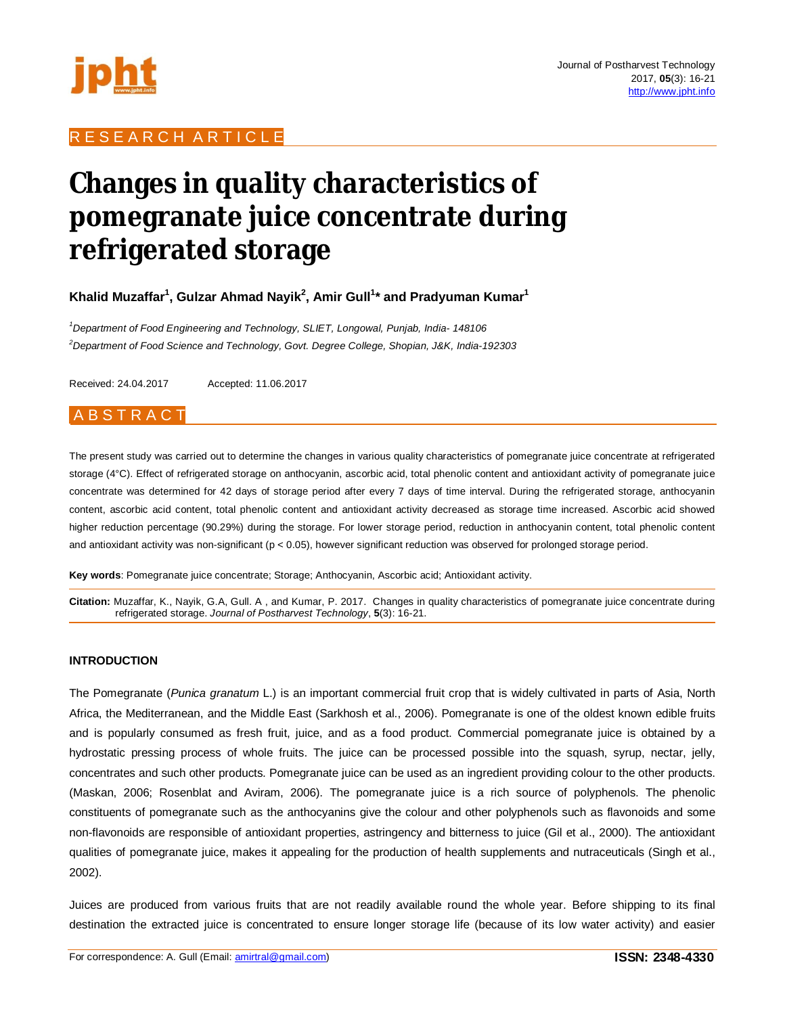

# R E S E A R C H A R T I C L E

# **Changes in quality characteristics of pomegranate juice concentrate during refrigerated storage**

**Khalid Muzaffar<sup>1</sup> , Gulzar Ahmad Nayik<sup>2</sup> , Amir Gull<sup>1</sup> \* and Pradyuman Kumar<sup>1</sup>**

*<sup>1</sup>Department of Food Engineering and Technology, SLIET, Longowal, Punjab, India- 148106 <sup>2</sup>Department of Food Science and Technology, Govt. Degree College, Shopian, J&K, India-192303*

Received: 24.04.2017 Accepted: 11.06.2017

# **ABSTRACT**

The present study was carried out to determine the changes in various quality characteristics of pomegranate juice concentrate at refrigerated storage (4°C). Effect of refrigerated storage on anthocyanin, ascorbic acid, total phenolic content and antioxidant activity of pomegranate juice concentrate was determined for 42 days of storage period after every 7 days of time interval. During the refrigerated storage, anthocyanin content, ascorbic acid content, total phenolic content and antioxidant activity decreased as storage time increased. Ascorbic acid showed higher reduction percentage (90.29%) during the storage. For lower storage period, reduction in anthocyanin content, total phenolic content and antioxidant activity was non-significant (p < 0.05), however significant reduction was observed for prolonged storage period.

**Key words**: Pomegranate juice concentrate; Storage; Anthocyanin, Ascorbic acid; Antioxidant activity.

**Citation:** Muzaffar, K., Nayik, G.A, Gull. A , and Kumar, P. 2017. Changes in quality characteristics of pomegranate juice concentrate during refrigerated storage. *Journal of Postharvest Technology*, **5**(3): 16-21.

#### **INTRODUCTION**

The Pomegranate (*Punica granatum* L.) is an important commercial fruit crop that is widely cultivated in parts of Asia, North Africa, the Mediterranean, and the Middle East (Sarkhosh et al., 2006). Pomegranate is one of the oldest known edible fruits and is popularly consumed as fresh fruit, juice, and as a food product. Commercial pomegranate juice is obtained by a hydrostatic pressing process of whole fruits. The juice can be processed possible into the squash, syrup, nectar, jelly, concentrates and such other products. Pomegranate juice can be used as an ingredient providing colour to the other products. (Maskan, 2006; Rosenblat and Aviram, 2006). The pomegranate juice is a rich source of polyphenols. The phenolic constituents of pomegranate such as the anthocyanins give the colour and other polyphenols such as flavonoids and some non-flavonoids are responsible of antioxidant properties, astringency and bitterness to juice (Gil et al., 2000). The antioxidant qualities of pomegranate juice, makes it appealing for the production of health supplements and nutraceuticals (Singh et al., 2002).

Juices are produced from various fruits that are not readily available round the whole year. Before shipping to its final destination the extracted juice is concentrated to ensure longer storage life (because of its low water activity) and easier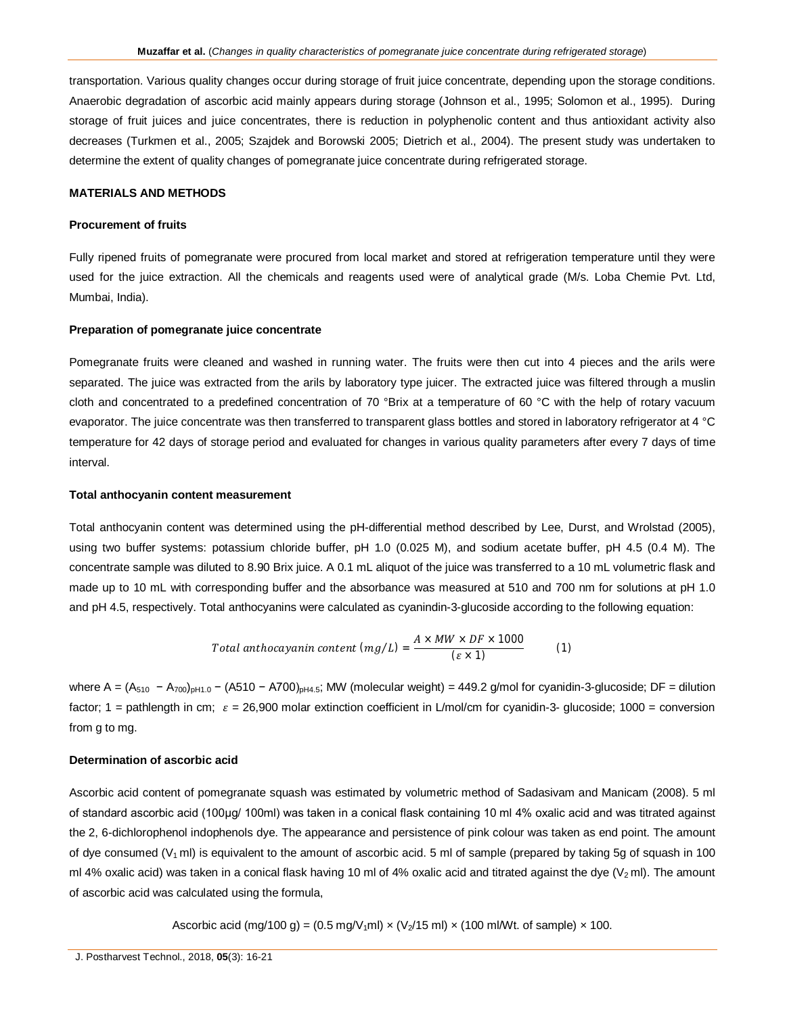transportation. Various quality changes occur during storage of fruit juice concentrate, depending upon the storage conditions. Anaerobic degradation of ascorbic acid mainly appears during storage (Johnson et al., 1995; Solomon et al., 1995). During storage of fruit juices and juice concentrates, there is reduction in polyphenolic content and thus antioxidant activity also decreases (Turkmen et al., 2005; Szajdek and Borowski 2005; Dietrich et al., 2004). The present study was undertaken to determine the extent of quality changes of pomegranate juice concentrate during refrigerated storage.

#### **MATERIALS AND METHODS**

## **Procurement of fruits**

Fully ripened fruits of pomegranate were procured from local market and stored at refrigeration temperature until they were used for the juice extraction. All the chemicals and reagents used were of analytical grade (M/s. Loba Chemie Pvt. Ltd, Mumbai, India).

#### **Preparation of pomegranate juice concentrate**

Pomegranate fruits were cleaned and washed in running water. The fruits were then cut into 4 pieces and the arils were separated. The juice was extracted from the arils by laboratory type juicer. The extracted juice was filtered through a muslin cloth and concentrated to a predefined concentration of 70 °Brix at a temperature of 60 °C with the help of rotary vacuum evaporator. The juice concentrate was then transferred to transparent glass bottles and stored in laboratory refrigerator at 4 °C temperature for 42 days of storage period and evaluated for changes in various quality parameters after every 7 days of time interval.

#### **Total anthocyanin content measurement**

Total anthocyanin content was determined using the pH-differential method described by Lee, Durst, and Wrolstad (2005), using two buffer systems: potassium chloride buffer, pH 1.0 (0.025 M), and sodium acetate buffer, pH 4.5 (0.4 M). The concentrate sample was diluted to 8.90 Brix juice. A 0.1 mL aliquot of the juice was transferred to a 10 mL volumetric flask and made up to 10 mL with corresponding buffer and the absorbance was measured at 510 and 700 nm for solutions at pH 1.0 and pH 4.5, respectively. Total anthocyanins were calculated as cyanindin-3-glucoside according to the following equation:

Total anthocayanin content 
$$
(mg/L) = \frac{A \times MW \times DF \times 1000}{(\varepsilon \times 1)}
$$
 (1)

where A =  $(A_{510} - A_{700})_{pH1.0} - (A510 - A700)_{pH4.5}$ ; MW (molecular weight) = 449.2 g/mol for cyanidin-3-glucoside; DF = dilution factor; 1 = pathlength in cm;  $\varepsilon = 26,900$  molar extinction coefficient in L/mol/cm for cyanidin-3- glucoside; 1000 = conversion from g to mg.

# **Determination of ascorbic acid**

Ascorbic acid content of pomegranate squash was estimated by volumetric method of Sadasivam and Manicam (2008). 5 ml of standard ascorbic acid (100μg/ 100ml) was taken in a conical flask containing 10 ml 4% oxalic acid and was titrated against the 2, 6-dichlorophenol indophenols dye. The appearance and persistence of pink colour was taken as end point. The amount of dye consumed (V<sub>1</sub> ml) is equivalent to the amount of ascorbic acid. 5 ml of sample (prepared by taking 5g of squash in 100 ml 4% oxalic acid) was taken in a conical flask having 10 ml of 4% oxalic acid and titrated against the dye  $(V<sub>2</sub>$ ml). The amount of ascorbic acid was calculated using the formula,

Ascorbic acid (mg/100 g) =  $(0.5 \text{ mg/V}_{1} \text{m}) \times (V_{2}/15 \text{ m}) \times (100 \text{ m}) \times (V_{2} \text{m}) \times (100 \text{ m}) \times (V_{2} \text{m})$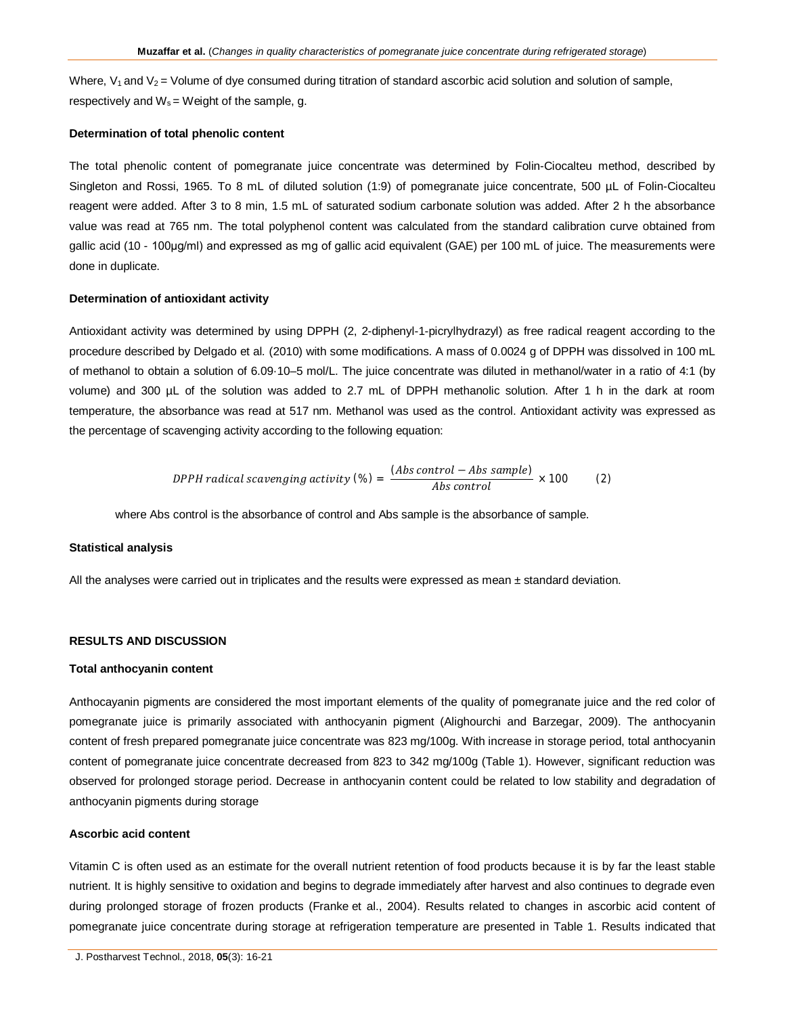Where,  $V_1$  and  $V_2$  = Volume of dye consumed during titration of standard ascorbic acid solution and solution of sample, respectively and  $W_s = W$ eight of the sample, g.

#### **Determination of total phenolic content**

The total phenolic content of pomegranate juice concentrate was determined by Folin-Ciocalteu method, described by Singleton and Rossi, 1965. To 8 mL of diluted solution (1:9) of pomegranate juice concentrate, 500 µL of Folin-Ciocalteu reagent were added. After 3 to 8 min, 1.5 mL of saturated sodium carbonate solution was added. After 2 h the absorbance value was read at 765 nm. The total polyphenol content was calculated from the standard calibration curve obtained from gallic acid (10 - 100µg/ml) and expressed as mg of gallic acid equivalent (GAE) per 100 mL of juice. The measurements were done in duplicate.

#### **Determination of antioxidant activity**

Antioxidant activity was determined by using DPPH (2, 2-diphenyl-1-picrylhydrazyl) as free radical reagent according to the procedure described by Delgado et al*.* (2010) with some modifications. A mass of 0.0024 g of DPPH was dissolved in 100 mL of methanol to obtain a solution of 6.09·10–5 mol/L. The juice concentrate was diluted in methanol/water in a ratio of 4:1 (by volume) and 300 µL of the solution was added to 2.7 mL of DPPH methanolic solution. After 1 h in the dark at room temperature, the absorbance was read at 517 nm. Methanol was used as the control. Antioxidant activity was expressed as the percentage of scavenging activity according to the following equation:

$$
DPPH \, radical \,scavending \, activity \, (*) = \frac{(Abs \, control - Abs \, sample)}{Abs \, control} \times 100 \qquad (2)
$$

where Abs control is the absorbance of control and Abs sample is the absorbance of sample.

#### **Statistical analysis**

All the analyses were carried out in triplicates and the results were expressed as mean ± standard deviation.

## **RESULTS AND DISCUSSION**

#### **Total anthocyanin content**

Anthocayanin pigments are considered the most important elements of the quality of pomegranate juice and the red color of pomegranate juice is primarily associated with anthocyanin pigment (Alighourchi and Barzegar, 2009). The anthocyanin content of fresh prepared pomegranate juice concentrate was 823 mg/100g. With increase in storage period, total anthocyanin content of pomegranate juice concentrate decreased from 823 to 342 mg/100g (Table 1). However, significant reduction was observed for prolonged storage period. Decrease in anthocyanin content could be related to low stability and degradation of anthocyanin pigments during storage

#### **Ascorbic acid content**

Vitamin C is often used as an estimate for the overall nutrient retention of food products because it is by far the least stable nutrient. It is highly sensitive to oxidation and begins to degrade immediately after harvest and also continues to degrade even during prolonged storage of frozen products (Franke et al., 2004). Results related to changes in ascorbic acid content of pomegranate juice concentrate during storage at refrigeration temperature are presented in Table 1. Results indicated that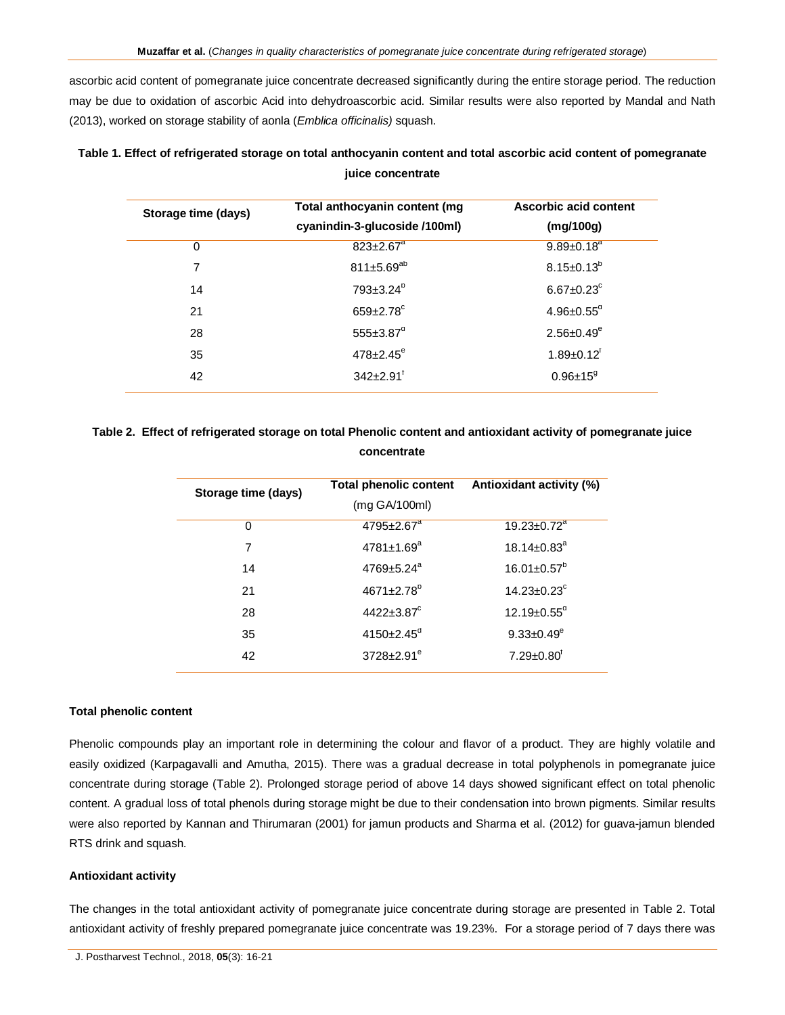ascorbic acid content of pomegranate juice concentrate decreased significantly during the entire storage period. The reduction may be due to oxidation of ascorbic Acid into dehydroascorbic acid. Similar results were also reported by Mandal and Nath (2013), worked on storage stability of aonla (*Emblica officinalis)* squash.

| Storage time (days) | Total anthocyanin content (mg<br>cyanindin-3-glucoside /100ml) | Ascorbic acid content<br>(mg/100g) |
|---------------------|----------------------------------------------------------------|------------------------------------|
| 0                   | $823 \pm 2.67$ <sup>a</sup>                                    | $9.89 \pm 0.18$ <sup>a</sup>       |
| 7                   | 811 $\pm$ 5.69 <sup>ab</sup>                                   | $8.15 \pm 0.13^b$                  |
| 14                  | $793 \pm 3.24^{\circ}$                                         | $6.67 \pm 0.23$ <sup>c</sup>       |
| 21                  | $659 \pm 2.78$ <sup>c</sup>                                    | $4.96 \pm 0.55$ <sup>d</sup>       |
| 28                  | $555 \pm 3.87$ <sup>a</sup>                                    | $2.56 \pm 0.49^e$                  |
| 35                  | $478 \pm 2.45^{\circ}$                                         | $1.89 \pm 0.12$ <sup>r</sup>       |
| 42                  | $342+2.91$ <sup>t</sup>                                        | $0.96 \pm 15^9$                    |

| Table 1. Effect of refrigerated storage on total anthocyanin content and total ascorbic acid content of pomegranate |
|---------------------------------------------------------------------------------------------------------------------|
| juice concentrate                                                                                                   |

# **Table 2. Effect of refrigerated storage on total Phenolic content and antioxidant activity of pomegranate juice concentrate**

| Storage time (days) | <b>Total phenolic content</b><br>(mg GA/100ml) | Antioxidant activity (%)      |
|---------------------|------------------------------------------------|-------------------------------|
| 0                   | $4795 \pm 2.67$ <sup>a</sup>                   | $19.23 \pm 0.72$ <sup>a</sup> |
| 7                   | $4781 \pm 1.69$ <sup>a</sup>                   | $18.14 \pm 0.83$ <sup>a</sup> |
| 14                  | $4769 \pm 5.24$ <sup>a</sup>                   | $16.01 \pm 0.57$ <sup>p</sup> |
| 21                  | $4671 \pm 2.78$ <sup>b</sup>                   | $14.23 \pm 0.23$ <sup>c</sup> |
| 28                  | $4422 \pm 3.87$ <sup>c</sup>                   | $12.19 \pm 0.55$ <sup>d</sup> |
| 35                  | $4150 \pm 2.45$ <sup>a</sup>                   | $9.33 \pm 0.49^e$             |
| 42                  | $3728 + 2.91^e$                                | $7.29 \pm 0.80$ <sup>r</sup>  |

# **Total phenolic content**

Phenolic compounds play an important role in determining the colour and flavor of a product. They are highly volatile and easily oxidized (Karpagavalli and Amutha, 2015). There was a gradual decrease in total polyphenols in pomegranate juice concentrate during storage (Table 2). Prolonged storage period of above 14 days showed significant effect on total phenolic content. A gradual loss of total phenols during storage might be due to their condensation into brown pigments. Similar results were also reported by Kannan and Thirumaran (2001) for jamun products and Sharma et al. (2012) for guava-jamun blended RTS drink and squash.

#### **Antioxidant activity**

The changes in the total antioxidant activity of pomegranate juice concentrate during storage are presented in Table 2. Total antioxidant activity of freshly prepared pomegranate juice concentrate was 19.23%. For a storage period of 7 days there was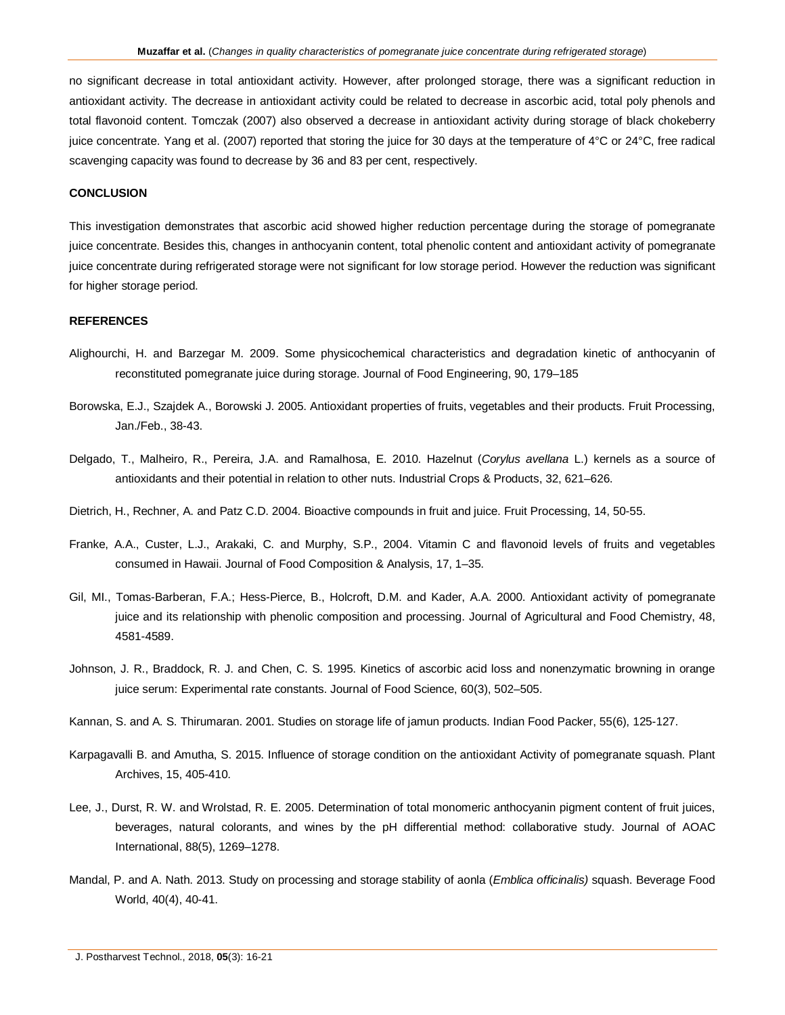no significant decrease in total antioxidant activity. However, after prolonged storage, there was a significant reduction in antioxidant activity. The decrease in antioxidant activity could be related to decrease in ascorbic acid, total poly phenols and total flavonoid content. Tomczak (2007) also observed a decrease in antioxidant activity during storage of black chokeberry juice concentrate. Yang et al. (2007) reported that storing the juice for 30 days at the temperature of 4°C or 24°C, free radical scavenging capacity was found to decrease by 36 and 83 per cent, respectively.

#### **CONCLUSION**

This investigation demonstrates that ascorbic acid showed higher reduction percentage during the storage of pomegranate juice concentrate. Besides this, changes in anthocyanin content, total phenolic content and antioxidant activity of pomegranate juice concentrate during refrigerated storage were not significant for low storage period. However the reduction was significant for higher storage period.

#### **REFERENCES**

- Alighourchi, H. and Barzegar M. 2009. Some physicochemical characteristics and degradation kinetic of anthocyanin of reconstituted pomegranate juice during storage. Journal of Food Engineering, 90, 179–185
- Borowska, E.J., Szajdek A., Borowski J. 2005. Antioxidant properties of fruits, vegetables and their products. Fruit Processing, Jan./Feb., 38-43.
- Delgado, T., Malheiro, R., Pereira, J.A. and Ramalhosa, E. 2010. Hazelnut (*Corylus avellana* L.) kernels as a source of antioxidants and their potential in relation to other nuts. Industrial Crops & Products, 32, 621–626.
- Dietrich, H., Rechner, A. and Patz C.D. 2004. Bioactive compounds in fruit and juice. Fruit Processing, 14, 50-55.
- Franke, A.A., Custer, L.J., Arakaki, C. and Murphy, S.P., 2004. Vitamin C and flavonoid levels of fruits and vegetables consumed in Hawaii. Journal of Food Composition & Analysis, 17, 1–35.
- Gil, MI., Tomas-Barberan, F.A.; Hess-Pierce, B., Holcroft, D.M. and Kader, A.A. 2000. Antioxidant activity of pomegranate juice and its relationship with phenolic composition and processing. Journal of Agricultural and Food Chemistry, 48, 4581-4589.
- Johnson, J. R., Braddock, R. J. and Chen, C. S. 1995. Kinetics of ascorbic acid loss and nonenzymatic browning in orange juice serum: Experimental rate constants. Journal of Food Science, 60(3), 502–505.
- Kannan, S. and A. S. Thirumaran. 2001. Studies on storage life of jamun products. Indian Food Packer, 55(6), 125-127.
- Karpagavalli B. and Amutha, S. 2015. Influence of storage condition on the antioxidant Activity of pomegranate squash. Plant Archives, 15, 405-410.
- Lee, J., Durst, R. W. and Wrolstad, R. E. 2005. Determination of total monomeric anthocyanin pigment content of fruit juices, beverages, natural colorants, and wines by the pH differential method: collaborative study. Journal of AOAC International, 88(5), 1269–1278.
- Mandal, P. and A. Nath. 2013. Study on processing and storage stability of aonla (*Emblica officinalis)* squash. Beverage Food World, 40(4), 40-41.